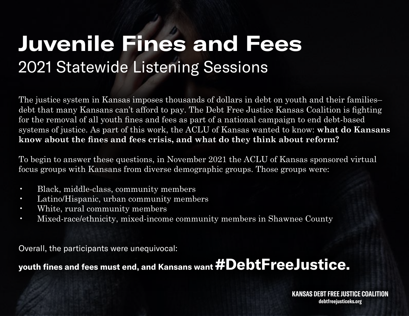# **Juvenile Fines and Fees** 2021 Statewide Listening Sessions

The justice system in Kansas imposes thousands of dollars in debt on youth and their families– debt that many Kansans can't afford to pay. The Debt Free Justice Kansas Coalition is fighting for the removal of all youth fines and fees as part of a national campaign to end debt-based systems of justice. As part of this work, the ACLU of Kansas wanted to know: **what do Kansans know about the fines and fees crisis, and what do they think about reform?**

To begin to answer these questions, in November 2021 the ACLU of Kansas sponsored virtual focus groups with Kansans from diverse demographic groups. Those groups were:

- Black, middle-class, community members
- Latino/Hispanic, urban community members
- White, rural community members
- Mixed-race/ethnicity, mixed-income community members in Shawnee County

Overall, the participants were unequivocal:

# **youth fines and fees must end, and Kansans want #DebtFreeJustice.**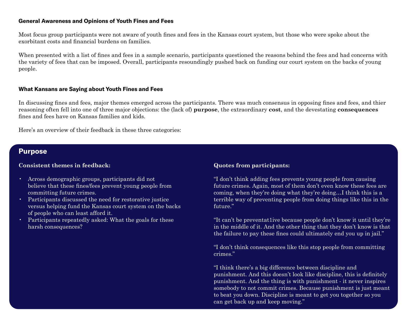### **General Awareness and Opinions of Youth Fines and Fees**

Most focus group participants were not aware of youth fines and fees in the Kansas court system, but those who were spoke about the exorbitant costs and financial burdens on families.

When presented with a list of fines and fees in a sample scenario, participants questioned the reasons behind the fees and had concerns with the variety of fees that can be imposed. Overall, participants resoundingly pushed back on funding our court system on the backs of young people.

#### **What Kansans are Saying about Youth Fines and Fees**

In discussing fines and fees, major themes emerged across the participants. There was much consensus in opposing fines and fees, and thier reasoning often fell into one of three major objections: the (lack of) **purpose**, the extraordinary **cost**, and the devestating **consequences** fines and fees have on Kansas families and kids.

Here's an overview of their feedback in these three categories:

# **Purpose**

# **Consistent themes in feedback:**

- Across demographic groups, participants did not believe that these fines/fees prevent young people from committing future crimes.
- Participants discussed the need for restorative justice versus helping fund the Kansas court system on the backs of people who can least afford it.
- Participants repeatedly asked: What the goals for these harsh consequences?

# **Quotes from participants:**

"I don't think adding fees prevents young people from causing future crimes. Again, most of them don't even know these fees are coming, when they're doing what they're doing…I think this is a terrible way of preventing people from doing things like this in the future."

"It can't be preventat1ive because people don't know it until they're in the middle of it. And the other thing that they don't know is that the failure to pay these fines could ultimately end you up in jail."

"I don't think consequences like this stop people from committing crimes."

"I think there's a big difference between discipline and punishment. And this doesn't look like discipline, this is definitely punishment. And the thing is with punishment - it never inspires somebody to not commit crimes. Because punishment is just meant to beat you down. Discipline is meant to get you together so you can get back up and keep moving."